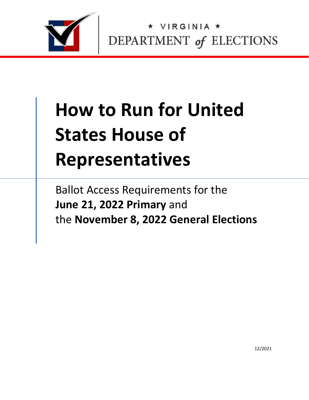

VIRGINIA \* DEPARTMENT of ELECTIONS

# **How to Run for United States House of Representatives**

Ballot Access Requirements for the **June 21, 2022 Primary** and the **November 8, 2022 General Elections**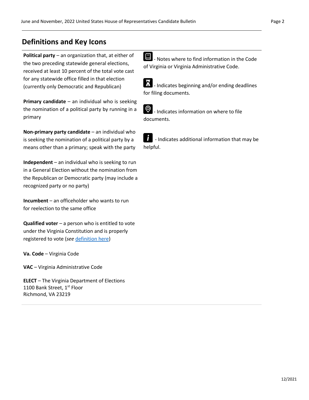## **Definitions and Key Icons**

**Political party** – an organization that, at either of the two preceding statewide general elections, received at least 10 percent of the total vote cast for any statewide office filled in that election (currently only Democratic and Republican)

**Primary candidate** – an individual who is seeking the nomination of a political party by running in a primary

**Non-primary party candidate** – an individual who is seeking the nomination of a political party by a means other than a primary; speak with the party

**Independent** – an individual who is seeking to run in a General Election without the nomination from the Republican or Democratic party (may include a recognized party or no party)

**Incumbent** – an officeholder who wants to run for reelection to the same office

**Qualified voter** – a person who is entitled to vote under the Virginia Constitution and is properly registered to vote (*see* [definition here\)](https://law.lis.virginia.gov/vacode/title24.2/chapter1/section24.2-101/)

**Va. Code** – Virginia Code

**VAC** – Virginia Administrative Code

**ELECT** – The Virginia Department of Elections 1100 Bank Street, 1st Floor Richmond, VA 23219

**E** - Notes where to find information in the Code of Virginia or Virginia Administrative Code.

X - Indicates beginning and/or ending deadlines for filing documents.



- Indicates information on where to file documents.

Ĭ - Indicates additional information that may be helpful.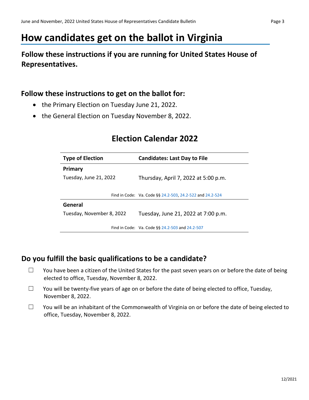## **How candidates get on the ballot in Virginia**

## **Follow these instructions if you are running for United States House of Representatives.**

## **Follow these instructions to get on the ballot for:**

- the Primary Election on Tuesday June 21, 2022.
- the General Election on Tuesday November 8, 2022.

## **Election Calendar 2022**

| <b>Type of Election</b>   | <b>Candidates: Last Day to File</b>                       |  |
|---------------------------|-----------------------------------------------------------|--|
| Primary                   |                                                           |  |
| Tuesday, June 21, 2022    | Thursday, April 7, 2022 at 5:00 p.m.                      |  |
|                           |                                                           |  |
|                           | Find in Code: Va. Code §§ 24.2-503, 24.2-522 and 24.2-524 |  |
| General                   |                                                           |  |
| Tuesday, November 8, 2022 | Tuesday, June 21, 2022 at 7:00 p.m.                       |  |
|                           | Find in Code: Va. Code §§ 24.2-503 and 24.2-507           |  |
|                           |                                                           |  |

## **Do you fulfill the basic qualifications to be a candidate?**

- $\Box$  You have been a citizen of the United States for the past seven years on or before the date of being elected to office, Tuesday, November 8, 2022.
- $\Box$  You will be twenty-five years of age on or before the date of being elected to office, Tuesday, November 8, 2022.
- $\Box$  You will be an inhabitant of the Commonwealth of Virginia on or before the date of being elected to office, Tuesday, November 8, 2022.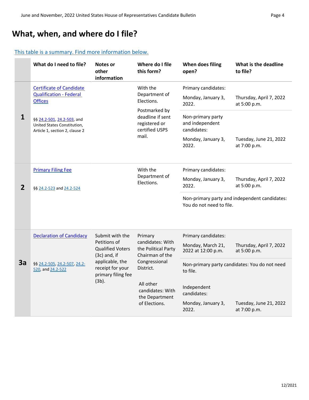## **What, when, and where do I file?**

#### [This table is a summary. Find more information below.](#page-5-0)

|                | What do I need to file?                                                                                                                                                                  | Notes or<br>other<br>information                                                                                                                             | Where do I file<br>this form?                                                                                   | When does filing<br>open?                           | What is the deadline<br>to file?              |
|----------------|------------------------------------------------------------------------------------------------------------------------------------------------------------------------------------------|--------------------------------------------------------------------------------------------------------------------------------------------------------------|-----------------------------------------------------------------------------------------------------------------|-----------------------------------------------------|-----------------------------------------------|
|                | <b>Certificate of Candidate</b><br><b>Qualification - Federal</b><br><b>Offices</b>                                                                                                      |                                                                                                                                                              | With the<br>Department of<br>Elections.<br>Postmarked by<br>deadline if sent<br>registered or<br>certified USPS | Primary candidates:                                 |                                               |
| $\mathbf{1}$   |                                                                                                                                                                                          |                                                                                                                                                              |                                                                                                                 | Monday, January 3,<br>2022.                         | Thursday, April 7, 2022<br>at 5:00 p.m.       |
|                | §§ 24.2-501, 24.2-503, and<br>United States Constitution,<br>Article 1, section 2, clause 2                                                                                              |                                                                                                                                                              |                                                                                                                 | Non-primary party<br>and independent<br>candidates: |                                               |
|                |                                                                                                                                                                                          |                                                                                                                                                              | mail.                                                                                                           | Monday, January 3,<br>2022.                         | Tuesday, June 21, 2022<br>at 7:00 p.m.        |
|                | <b>Primary Filing Fee</b>                                                                                                                                                                |                                                                                                                                                              | With the                                                                                                        | Primary candidates:                                 |                                               |
| $\overline{2}$ | §§ 24.2-523 and 24.2-524                                                                                                                                                                 |                                                                                                                                                              | Department of<br>Elections.                                                                                     | Monday, January 3,<br>2022.                         | Thursday, April 7, 2022<br>at 5:00 p.m.       |
|                |                                                                                                                                                                                          |                                                                                                                                                              |                                                                                                                 | You do not need to file.                            | Non-primary party and independent candidates: |
|                | <b>Declaration of Candidacy</b>                                                                                                                                                          | Submit with the                                                                                                                                              | Primary                                                                                                         | Primary candidates:                                 |                                               |
| 3a             | Petitions of<br><b>Qualified Voters</b><br>$(3c)$ and, if<br>applicable, the<br>\$§ 24.2-505, 24.2-507, 24.2-<br>receipt for your<br>520, and 24.2-522<br>primary filing fee<br>$(3b)$ . | candidates: With<br>the Political Party<br>Chairman of the<br>Congressional<br>District.<br>All other<br>candidates: With<br>the Department<br>of Elections. | Monday, March 21,<br>2022 at 12:00 p.m.                                                                         | Thursday, April 7, 2022<br>at 5:00 p.m.             |                                               |
|                |                                                                                                                                                                                          |                                                                                                                                                              | to file.                                                                                                        | Non-primary party candidates: You do not need       |                                               |
|                |                                                                                                                                                                                          |                                                                                                                                                              | Independent<br>candidates:                                                                                      |                                                     |                                               |
|                |                                                                                                                                                                                          |                                                                                                                                                              | Monday, January 3,<br>2022.                                                                                     | Tuesday, June 21, 2022<br>at 7:00 p.m.              |                                               |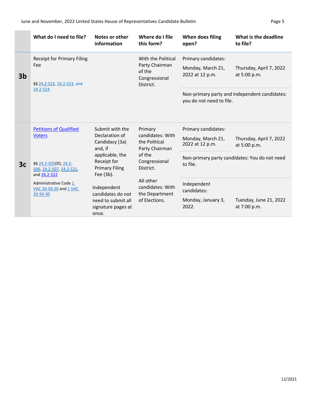|                | What do I need to file?                                                                                                                                                            | Notes or other<br>information                                                                                                                                                                                          | Where do I file<br>this form?                                                                                                                                              | When does filing<br>open?                                                                                                            | What is the deadline<br>to file?                                                                                                   |
|----------------|------------------------------------------------------------------------------------------------------------------------------------------------------------------------------------|------------------------------------------------------------------------------------------------------------------------------------------------------------------------------------------------------------------------|----------------------------------------------------------------------------------------------------------------------------------------------------------------------------|--------------------------------------------------------------------------------------------------------------------------------------|------------------------------------------------------------------------------------------------------------------------------------|
| 3 <sub>b</sub> | <b>Receipt for Primary Filing</b><br>Fee<br>§§ 24.2-522, 24.2-523, and<br>24.2-524                                                                                                 |                                                                                                                                                                                                                        | With the Political<br>Party Chairman<br>of the<br>Congressional<br>District.                                                                                               | Primary candidates:<br>Monday, March 21,<br>2022 at 12 p.m.<br>you do not need to file.                                              | Thursday, April 7, 2022<br>at 5:00 p.m.<br>Non-primary party and independent candidates:                                           |
| 3c             | <b>Petitions of Qualified</b><br><b>Voters</b><br>§§ 24.2-505(D), 24.2-<br>506, 24.2-507, 24.2-521,<br>and 24.2-522<br>Administrative Code 1<br>VAC 20-50-20 and 1 VAC<br>20-50-30 | Submit with the<br>Declaration of<br>Candidacy (3a)<br>and, if<br>applicable, the<br>Receipt for<br><b>Primary Filing</b><br>Fee (3b).<br>Independent<br>candidates do not<br>need to submit all<br>signature pages at | Primary<br>candidates: With<br>the Political<br>Party Chairman<br>of the<br>Congressional<br>District.<br>All other<br>candidates: With<br>the Department<br>of Elections. | Primary candidates:<br>Monday, March 21,<br>2022 at 12 p.m.<br>to file.<br>Independent<br>candidates:<br>Monday, January 3,<br>2022. | Thursday, April 7, 2022<br>at 5:00 p.m.<br>Non-primary party candidates: You do not need<br>Tuesday, June 21, 2022<br>at 7:00 p.m. |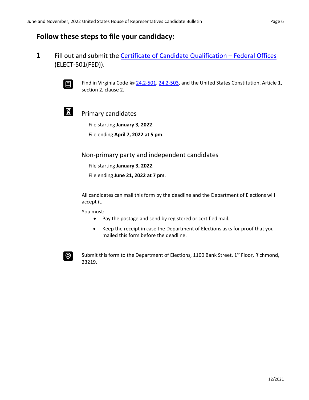#### <span id="page-5-0"></span>**Follow these steps to file your candidacy:**

**1** Fill out and submit the [Certificate of Candidate Qualification](https://www.elections.virginia.gov/media/formswarehouse/ballot-access-candidate-qualification/sbe-501-certificate-of-candidate-qualifications/ELECT-501(FED)-Certificate-of-Candidate-Qualification-Federal-Offices-rev-1-6-22.pdf) – Federal Offices (ELECT-501(FED)).



Find in Virginia Code §[§ 24.2-501,](https://law.lis.virginia.gov/vacode/title24.2/chapter5/section24.2-501/) [24.2-503,](https://law.lis.virginia.gov/vacode/title24.2/chapter5/section24.2-503/) and the United States Constitution, Article 1, section 2, clause 2.



#### Primary candidates

File starting **January 3, 2022**.

File ending **April 7, 2022 at 5 pm**.

Non-primary party and independent candidates

File starting **January 3, 2022**.

File ending **June 21, 2022 at 7 pm**.

All candidates can mail this form by the deadline and the Department of Elections will accept it.

You must:

- Pay the postage and send by registered or certified mail.
- Keep the receipt in case the Department of Elections asks for proof that you mailed this form before the deadline.



Submit this form to the Department of Elections, 1100 Bank Street,  $1^{st}$  Floor, Richmond, 23219.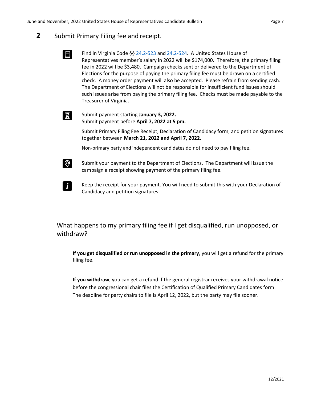#### **2** Submit Primary Filing fee and receipt.

回

X

 $\odot$ 

- Find in Virginia Code §[§ 24.2-523](https://law.lis.virginia.gov/vacode/title24.2/chapter5/section24.2-523/) and [24.2-524.](https://law.lis.virginia.gov/vacode/title24.2/chapter5/section24.2-524/) A United States House of Representatives member's salary in 2022 will be \$174,000. Therefore, the primary filing fee in 2022 will be \$3,480. Campaign checks sent or delivered to the Department of Elections for the purpose of paying the primary filing fee must be drawn on a certified check. A money order payment will also be accepted. Please refrain from sending cash. The Department of Elections will not be responsible for insufficient fund issues should such issues arise from paying the primary filing fee. Checks must be made payable to the Treasurer of Virginia.
- Submit payment starting **January 3, 2022.** Submit payment before **April 7, 2022 at 5 pm.**

Submit Primary Filing Fee Receipt, Declaration of Candidacy form, and petition signatures together between **March 21, 2022 and April 7, 2022**.

Non-primary party and independent candidates do not need to pay filing fee.

- Submit your payment to the Department of Elections. The Department will issue the campaign a receipt showing payment of the primary filing fee.
- $\mathbf{r}$ Keep the receipt for your payment. You will need to submit this with your Declaration of Candidacy and petition signatures.

#### What happens to my primary filing fee if I get disqualified, run unopposed, or withdraw?

**If you get disqualified or run unopposed in the primary**, you will get a refund for the primary filing fee.

**If you withdraw**, you can get a refund if the general registrar receives your withdrawal notice before the congressional chair files the Certification of Qualified Primary Candidates form. The deadline for party chairs to file is April 12, 2022, but the party may file sooner.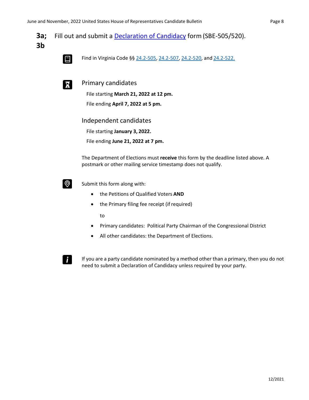**3a;** Fill out and submit a [Declaration of Candidacy](https://www.elections.virginia.gov/media/formswarehouse/campaign-finance/2018/candidates/SBE_505_520_Declaration_of_Candidacy_Rev1_15.pdf) form (SBE-505/520). **3b**

间

Find in Virginia Code §[§ 24.2-505,](https://law.lis.virginia.gov/vacode/title24.2/chapter5/section24.2-505/) [24.2-507, 24.2-520,](https://law.lis.virginia.gov/vacode/title24.2/chapter5/section24.2-507/) and [24.2-522.](https://law.lis.virginia.gov/vacode/title24.2/chapter5/section24.2-522/)



Primary candidates

File starting **March 21, 2022 at 12 pm.** File ending **April 7, 2022 at 5 pm.**

Independent candidates

File starting **January 3, 2022.**

File ending **June 21, 2022 at 7 pm.**

The Department of Elections must **receive** this form by the deadline listed above. A postmark or other mailing service timestamp does not qualify.



Submit this form along with:

- the Petitions of Qualified Voters **AND**
- the Primary filing fee receipt (ifrequired)

to

- Primary candidates: Political Party Chairman of the Congressional District
- All other candidates: the Department of Elections.



If you are a party candidate nominated by a method other than a primary, then you do not need to submit a Declaration of Candidacy unless required by your party.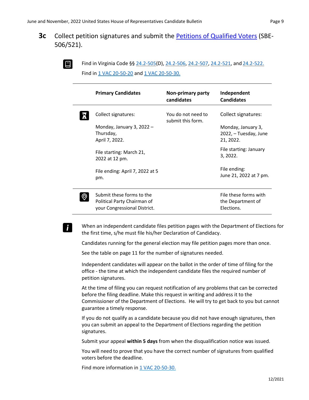#### **3c** Collect petition signatures and submit the [Petitions of Qualified Voters](https://www.elections.virginia.gov/media/formswarehouse/campaign-finance/2018/candidates/Petition-of-Qualified-Voters-SBE-506_521_legal.pdf) (SBE-506/521).



i l

Find in Virginia Code §[§ 24.2-505\(](https://law.lis.virginia.gov/vacode/title24.2/chapter5/section24.2-505/)D), [24.2-506, 24.2-507,](https://law.lis.virginia.gov/vacode/title24.2/chapter5/section24.2-506/) [24.2-521, a](https://law.lis.virginia.gov/vacode/title24.2/chapter5/section24.2-521/)nd [24.2-522.](https://law.lis.virginia.gov/vacode/title24.2/chapter5/section24.2-522/) Find in [1 VAC 20-50-20](https://law.lis.virginia.gov/admincode/title1/agency20/chapter50/section20/) an[d 1 VAC 20-50-30.](https://law.lis.virginia.gov/admincode/title1/agency20/chapter50/section30/)

| <b>Primary Candidates</b>                                                                | Non-primary party<br>candidates         | Independent<br><b>Candidates</b>                         |
|------------------------------------------------------------------------------------------|-----------------------------------------|----------------------------------------------------------|
| Collect signatures:<br>Monday, January 3, 2022 $-$                                       | You do not need to<br>submit this form. | Collect signatures:<br>Monday, January 3,                |
| Thursday,<br>April 7, 2022.                                                              |                                         | 2022, - Tuesday, June<br>21, 2022.                       |
| File starting: March 21,<br>2022 at 12 pm.                                               |                                         | File starting: January<br>3, 2022.                       |
| File ending: April 7, 2022 at 5<br>pm.                                                   |                                         | File ending:<br>June 21, 2022 at 7 pm.                   |
| Submit these forms to the<br>Political Party Chairman of<br>your Congressional District. |                                         | File these forms with<br>the Department of<br>Elections. |

When an independent candidate files petition pages with the Department of Elections for the first time, s/he must file his/her Declaration of Candidacy.

Candidates running for the general election may file petition pages more than once.

See the table on page 11 for the number of signatures needed.

Independent candidates will appear on the ballot in the order of time of filing for the office - the time at which the independent candidate files the required number of petition signatures.

At the time of filing you can request notification of any problems that can be corrected before the filing deadline. Make this request in writing and address it to the Commissioner of the Department of Elections. He will try to get back to you but cannot guarantee a timely response.

If you do not qualify as a candidate because you did not have enough signatures, then you can submit an appeal to the Department of Elections regarding the petition signatures.

Submit your appeal **within 5 days** from when the disqualification notice was issued.

You will need to prove that you have the correct number of signatures from qualified voters before the deadline.

Find more information i[n 1 VAC 20-50-30.](https://law.lis.virginia.gov/admincode/title1/agency20/chapter50/section30/)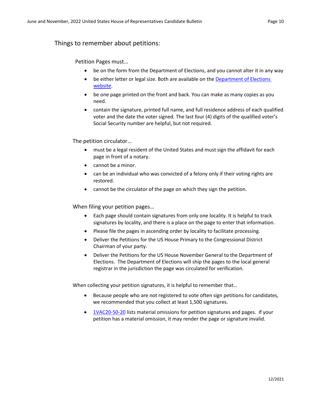#### Things to remember about petitions:

Petition Pages must…

- be on the form from the Department of Elections, and you cannot alter it in any way
- be either letter or legal size. Both are available on the **Department of Elections** [website.](https://www.elections.virginia.gov/candidatepac-info/candidate-forms/index.html)
- be one page printed on the front and back. You can make as many copies as you need.
- contain the signature, printed full name, and full residence address of each qualified voter and the date the voter signed. The last four (4) digits of the qualified voter's Social Security number are helpful, but not required.

The petition circulator…

- must be a legal resident of the United States and must sign the affidavit for each page in front of a notary.
- cannot be a minor.
- can be an individual who was convicted of a felony only if their voting rights are restored.
- cannot be the circulator of the page on which they sign the petition.

When filing your petition pages…

- Each page should contain signatures from only one locality. It is helpful to track signatures by locality, and there is a place on the page to enter that information.
- Please file the pages in ascending order by locality to facilitate processing.
- Deliver the Petitions for the US House Primary to the Congressional District Chairman of your party.
- Deliver the Petitions for the US House November General to the Department of Elections. The Department of Elections will ship the pages to the local general registrar in the jurisdiction the page was circulated for verification.

When collecting your petition signatures, it is helpful to remember that…

- Because people who are not registered to vote often sign petitions for candidates, we recommended that you collect at least 1,500 signatures.
- [1VAC20-50-20](https://law.lis.virginia.gov/admincode/title1/agency20/chapter50/section20/) lists material omissions for petition signatures and pages. If your petition has a material omission, it may render the page or signature invalid.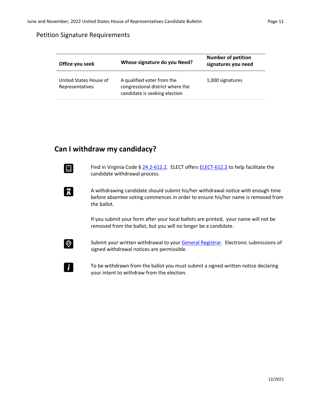#### Petition Signature Requirements

| Whose signature do you Need?              |                                                                                                 | <b>Number of petition</b> |  |
|-------------------------------------------|-------------------------------------------------------------------------------------------------|---------------------------|--|
| Office you seek                           |                                                                                                 | signatures you need       |  |
| United States House of<br>Representatives | A qualified voter from the<br>congressional district where the<br>candidate is seeking election | 1,000 signatures          |  |

#### **Can I withdraw my candidacy?**

X

Find in Virginia Code § [24.2-612.2.](https://law.lis.virginia.gov/vacode/title24.2/chapter6/section24.2-612.2/) ELECT offer[s ELECT-612.2](https://www.elections.virginia.gov/media/formswarehouse/campaign-finance/2018/candidates/ELECT-612-2-Candidate-Withdrawal-Form-12-17.pdf) to help facilitate the candidate withdrawal process.

A withdrawing candidate should submit his/her withdrawal notice with enough time before absentee voting commences in order to ensure his/her name is removed from the ballot.

If you submit your form after your local ballots are printed, your name will not be removed from the ballot, but you will no longer be a candidate.



 $\mathbf{i}$ 

Submit your written withdrawal to your [General Registrar.](https://vote.elections.virginia.gov/VoterInformation/PublicContactLookup) Electronic submissions of signed withdrawal notices are permissible.

To be withdrawn from the ballot you must submit a signed written notice declaring your intent to withdraw from the election.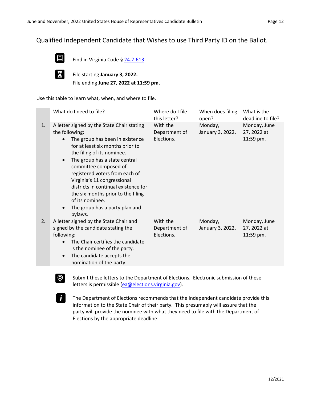#### Qualified Independent Candidate that Wishes to use Third Party ID on the Ballot.



Find in Virginia Code § [24.2-613.](https://law.lis.virginia.gov/vacode/title24.2/chapter6/section24.2-613/)

X

 $\odot$ 

 $\mathbf{r}$ 

File starting **January 3, 2022.** File ending **June 27, 2022 at 11:59 pm.**

Use this table to learn what, when, and where to file.

| 1. | A letter signed by the State Chair stating<br>the following:                                                                                                                                                                                                                                                                                                                                         | With the                                |                             |                                          |
|----|------------------------------------------------------------------------------------------------------------------------------------------------------------------------------------------------------------------------------------------------------------------------------------------------------------------------------------------------------------------------------------------------------|-----------------------------------------|-----------------------------|------------------------------------------|
|    | The group has been in existence<br>for at least six months prior to<br>the filing of its nominee.<br>The group has a state central<br>$\bullet$<br>committee composed of<br>registered voters from each of<br>Virginia's 11 congressional<br>districts in continual existence for<br>the six months prior to the filing<br>of its nominee.<br>The group has a party plan and<br>$\bullet$<br>bylaws. | Department of<br>Elections.             | Monday,<br>January 3, 2022. | Monday, June<br>27, 2022 at<br>11:59 pm. |
| 2. | A letter signed by the State Chair and<br>signed by the candidate stating the<br>following:<br>The Chair certifies the candidate<br>$\bullet$<br>is the nominee of the party.<br>The candidate accepts the<br>$\bullet$<br>nomination of the party.                                                                                                                                                  | With the<br>Department of<br>Elections. | Monday,<br>January 3, 2022. | Monday, June<br>27, 2022 at<br>11:59 pm. |

Submit these letters to the Department of Elections. Electronic submission of these letters is permissible [\(ea@elections.virginia.gov\)](mailto:ea@elections.virginia.gov).

The Department of Elections recommends that the Independent candidate provide this information to the State Chair of their party. This presumably will assure that the party will provide the nominee with what they need to file with the Department of Elections by the appropriate deadline.